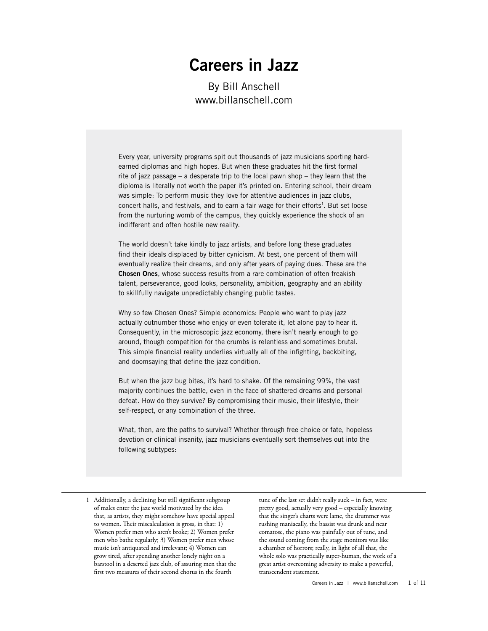# **Careers in Jazz**

By Bill Anschell www.billanschell.com

Every year, university programs spit out thousands of jazz musicians sporting hardearned diplomas and high hopes. But when these graduates hit the first formal rite of jazz passage – a desperate trip to the local pawn shop – they learn that the diploma is literally not worth the paper it's printed on. Entering school, their dream was simple: To perform music they love for attentive audiences in jazz clubs, concert halls, and festivals, and to earn a fair wage for their efforts<sup>1</sup>. But set loose from the nurturing womb of the campus, they quickly experience the shock of an indifferent and often hostile new reality.

The world doesn't take kindly to jazz artists, and before long these graduates find their ideals displaced by bitter cynicism. At best, one percent of them will eventually realize their dreams, and only after years of paying dues. These are the **Chosen Ones**, whose success results from a rare combination of often freakish talent, perseverance, good looks, personality, ambition, geography and an ability to skillfully navigate unpredictably changing public tastes.

Why so few Chosen Ones? Simple economics: People who want to play jazz actually outnumber those who enjoy or even tolerate it, let alone pay to hear it. Consequently, in the microscopic jazz economy, there isn't nearly enough to go around, though competition for the crumbs is relentless and sometimes brutal. This simple financial reality underlies virtually all of the infighting, backbiting, and doomsaying that define the jazz condition.

But when the jazz bug bites, it's hard to shake. Of the remaining 99%, the vast majority continues the battle, even in the face of shattered dreams and personal defeat. How do they survive? By compromising their music, their lifestyle, their self-respect, or any combination of the three.

What, then, are the paths to survival? Whether through free choice or fate, hopeless devotion or clinical insanity, jazz musicians eventually sort themselves out into the following subtypes:

tune of the last set didn't really suck – in fact, were pretty good, actually very good – especially knowing that the singer's charts were lame, the drummer was rushing maniacally, the bassist was drunk and near comatose, the piano was painfully out of tune, and the sound coming from the stage monitors was like a chamber of horrors; really, in light of all that, the whole solo was practically super-human, the work of a great artist overcoming adversity to make a powerful, transcendent statement.

<sup>1</sup> Additionally, a declining but still significant subgroup of males enter the jazz world motivated by the idea that, as artists, they might somehow have special appeal to women. Their miscalculation is gross, in that: 1) Women prefer men who aren't broke; 2) Women prefer men who bathe regularly; 3) Women prefer men whose music isn't antiquated and irrelevant; 4) Women can grow tired, after spending another lonely night on a barstool in a deserted jazz club, of assuring men that the first two measures of their second chorus in the fourth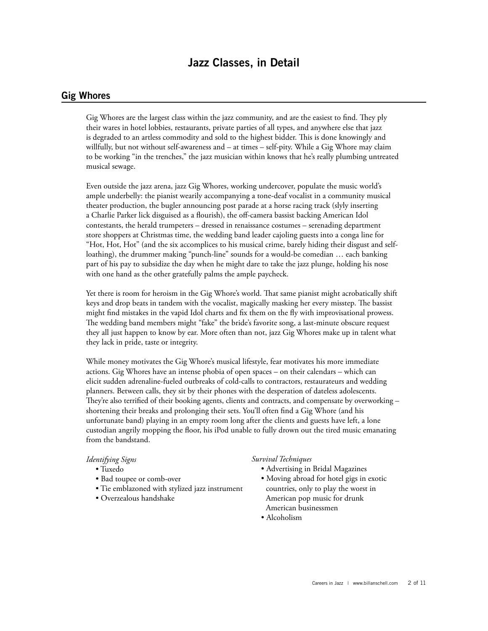## **Jazz Classes, in Detail**

## **Gig Whores**

Gig Whores are the largest class within the jazz community, and are the easiest to find. They ply their wares in hotel lobbies, restaurants, private parties of all types, and anywhere else that jazz is degraded to an artless commodity and sold to the highest bidder. This is done knowingly and willfully, but not without self-awareness and – at times – self-pity. While a Gig Whore may claim to be working "in the trenches," the jazz musician within knows that he's really plumbing untreated musical sewage.

Even outside the jazz arena, jazz Gig Whores, working undercover, populate the music world's ample underbelly: the pianist wearily accompanying a tone-deaf vocalist in a community musical theater production, the bugler announcing post parade at a horse racing track (slyly inserting a Charlie Parker lick disguised as a flourish), the off-camera bassist backing American Idol contestants, the herald trumpeters – dressed in renaissance costumes – serenading department store shoppers at Christmas time, the wedding band leader cajoling guests into a conga line for "Hot, Hot, Hot" (and the six accomplices to his musical crime, barely hiding their disgust and selfloathing), the drummer making "punch-line" sounds for a would-be comedian … each banking part of his pay to subsidize the day when he might dare to take the jazz plunge, holding his nose with one hand as the other gratefully palms the ample paycheck.

Yet there is room for heroism in the Gig Whore's world. That same pianist might acrobatically shift keys and drop beats in tandem with the vocalist, magically masking her every misstep. The bassist might find mistakes in the vapid Idol charts and fix them on the fly with improvisational prowess. The wedding band members might "fake" the bride's favorite song, a last-minute obscure request they all just happen to know by ear. More often than not, jazz Gig Whores make up in talent what they lack in pride, taste or integrity.

While money motivates the Gig Whore's musical lifestyle, fear motivates his more immediate actions. Gig Whores have an intense phobia of open spaces – on their calendars – which can elicit sudden adrenaline-fueled outbreaks of cold-calls to contractors, restaurateurs and wedding planners. Between calls, they sit by their phones with the desperation of dateless adolescents. They're also terrified of their booking agents, clients and contracts, and compensate by overworking – shortening their breaks and prolonging their sets. You'll often find a Gig Whore (and his unfortunate band) playing in an empty room long after the clients and guests have left, a lone custodian angrily mopping the floor, his iPod unable to fully drown out the tired music emanating from the bandstand.

#### *Identifying Signs*

- Tuxedo
- Bad toupee or comb-over
- Tie emblazoned with stylized jazz instrument
- Overzealous handshake

#### *Survival Techniques*

- Advertising in Bridal Magazines
- Moving abroad for hotel gigs in exotic countries, only to play the worst in American pop music for drunk American businessmen
- Alcoholism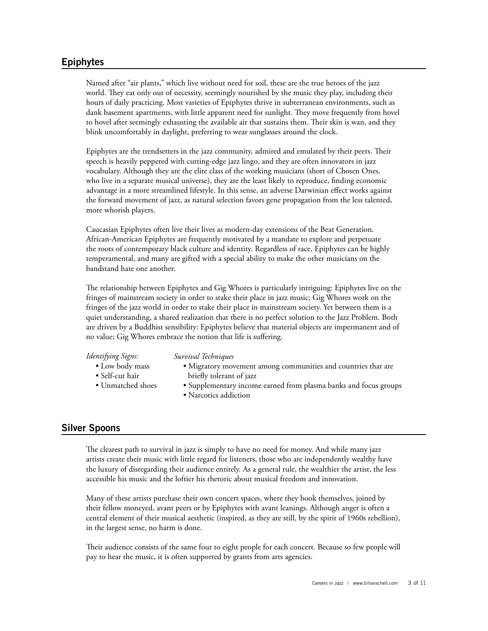## **Epiphytes**

Named after "air plants," which live without need for soil, these are the true heroes of the jazz world. They eat only out of necessity, seemingly nourished by the music they play, including their hours of daily practicing. Most varieties of Epiphytes thrive in subterranean environments, such as dank basement apartments, with little apparent need for sunlight. They move frequently from hovel to hovel after seemingly exhausting the available air that sustains them. Their skin is wan, and they blink uncomfortably in daylight, preferring to wear sunglasses around the clock.

Epiphytes are the trendsetters in the jazz community, admired and emulated by their peers. Their speech is heavily peppered with cutting-edge jazz lingo, and they are often innovators in jazz vocabulary. Although they are the elite class of the working musicians (short of Chosen Ones, who live in a separate musical universe), they are the least likely to reproduce, finding economic advantage in a more streamlined lifestyle. In this sense, an adverse Darwinian effect works against the forward movement of jazz, as natural selection favors gene propagation from the less talented, more whorish players.

Caucasian Epiphytes often live their lives as modern-day extensions of the Beat Generation. African-American Epiphytes are frequently motivated by a mandate to explore and perpetuate the roots of contemporary black culture and identity. Regardless of race, Epiphytes can be highly temperamental, and many are gifted with a special ability to make the other musicians on the bandstand hate one another.

The relationship between Epiphytes and Gig Whores is particularly intriguing: Epiphytes live on the fringes of mainstream society in order to stake their place in jazz music; Gig Whores work on the fringes of the jazz world in order to stake their place in mainstream society. Yet between them is a quiet understanding, a shared realization that there is no perfect solution to the Jazz Problem. Both are driven by a Buddhist sensibility: Epiphytes believe that material objects are impermanent and of no value; Gig Whores embrace the notion that life is suffering.

#### *Identifying Signs:*

#### *Survival Techniques*

- Low body mass • Self-cut hair
- Migratory movement among communities and countries that are briefly tolerant of jazz
- Unmatched shoes
- Supplementary income earned from plasma banks and focus groups
- Narcotics addiction

## **Silver Spoons**

The clearest path to survival in jazz is simply to have no need for money. And while many jazz artists create their music with little regard for listeners, those who are independently wealthy have the luxury of disregarding their audience entirely. As a general rule, the wealthier the artist, the less accessible his music and the loftier his rhetoric about musical freedom and innovation.

Many of these artists purchase their own concert spaces, where they book themselves, joined by their fellow moneyed, avant peers or by Epiphytes with avant leanings. Although anger is often a central element of their musical aesthetic (inspired, as they are still, by the spirit of 1960s rebellion), in the largest sense, no harm is done.

Their audience consists of the same four to eight people for each concert. Because so few people will pay to hear the music, it is often supported by grants from arts agencies.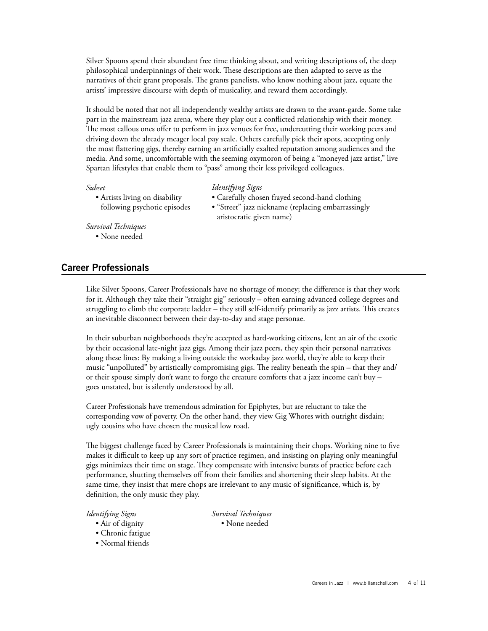Silver Spoons spend their abundant free time thinking about, and writing descriptions of, the deep philosophical underpinnings of their work. These descriptions are then adapted to serve as the narratives of their grant proposals. The grants panelists, who know nothing about jazz, equate the artists' impressive discourse with depth of musicality, and reward them accordingly.

It should be noted that not all independently wealthy artists are drawn to the avant-garde. Some take part in the mainstream jazz arena, where they play out a conflicted relationship with their money. The most callous ones offer to perform in jazz venues for free, undercutting their working peers and driving down the already meager local pay scale. Others carefully pick their spots, accepting only the most flattering gigs, thereby earning an artificially exalted reputation among audiences and the media. And some, uncomfortable with the seeming oxymoron of being a "moneyed jazz artist," live Spartan lifestyles that enable them to "pass" among their less privileged colleagues.

#### *Subset*

• Artists living on disability following psychotic episodes

#### *Identifying Signs*

- Carefully chosen frayed second-hand clothing
- "Street" jazz nickname (replacing embarrassingly aristocratic given name)

*Survival Techniques*

• None needed

## **Career Professionals**

Like Silver Spoons, Career Professionals have no shortage of money; the difference is that they work for it. Although they take their "straight gig" seriously – often earning advanced college degrees and struggling to climb the corporate ladder – they still self-identify primarily as jazz artists. This creates an inevitable disconnect between their day-to-day and stage personae.

In their suburban neighborhoods they're accepted as hard-working citizens, lent an air of the exotic by their occasional late-night jazz gigs. Among their jazz peers, they spin their personal narratives along these lines: By making a living outside the workaday jazz world, they're able to keep their music "unpolluted" by artistically compromising gigs. The reality beneath the spin – that they and/ or their spouse simply don't want to forgo the creature comforts that a jazz income can't buy – goes unstated, but is silently understood by all.

Career Professionals have tremendous admiration for Epiphytes, but are reluctant to take the corresponding vow of poverty. On the other hand, they view Gig Whores with outright disdain; ugly cousins who have chosen the musical low road.

The biggest challenge faced by Career Professionals is maintaining their chops. Working nine to five makes it difficult to keep up any sort of practice regimen, and insisting on playing only meaningful gigs minimizes their time on stage. They compensate with intensive bursts of practice before each performance, shutting themselves off from their families and shortening their sleep habits. At the same time, they insist that mere chops are irrelevant to any music of significance, which is, by definition, the only music they play.

## *Identifying Signs*

- Air of dignity
- Chronic fatigue
- Normal friends

*Survival Techniques* • None needed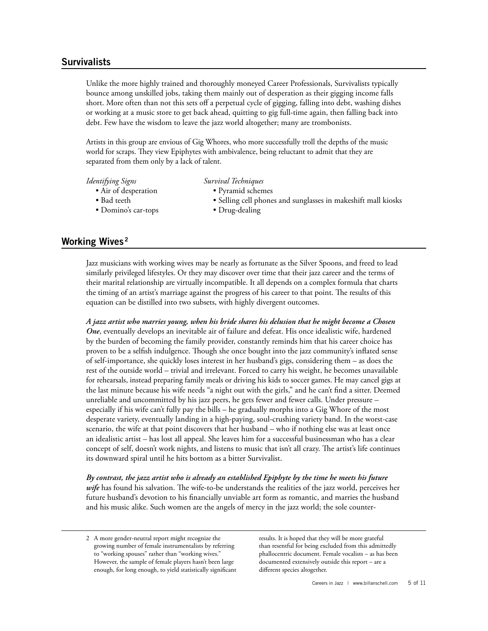## **Survivalists**

Unlike the more highly trained and thoroughly moneyed Career Professionals, Survivalists typically bounce among unskilled jobs, taking them mainly out of desperation as their gigging income falls short. More often than not this sets off a perpetual cycle of gigging, falling into debt, washing dishes or working at a music store to get back ahead, quitting to gig full-time again, then falling back into debt. Few have the wisdom to leave the jazz world altogether; many are trombonists.

Artists in this group are envious of Gig Whores, who more successfully troll the depths of the music world for scraps. They view Epiphytes with ambivalence, being reluctant to admit that they are separated from them only by a lack of talent.

#### *Identifying Signs*

- Air of desperation
	-
- Bad teeth
- Domino's car-tops
- *Survival Techniques*
	- Pyramid schemes
	- Selling cell phones and sunglasses in makeshift mall kiosks
	- Drug-dealing

## **Working Wives <sup>2</sup>**

Jazz musicians with working wives may be nearly as fortunate as the Silver Spoons, and freed to lead similarly privileged lifestyles. Or they may discover over time that their jazz career and the terms of their marital relationship are virtually incompatible. It all depends on a complex formula that charts the timing of an artist's marriage against the progress of his career to that point. The results of this equation can be distilled into two subsets, with highly divergent outcomes.

*A jazz artist who marries young, when his bride shares his delusion that he might become a Chosen One*, eventually develops an inevitable air of failure and defeat. His once idealistic wife, hardened by the burden of becoming the family provider, constantly reminds him that his career choice has proven to be a selfish indulgence. Though she once bought into the jazz community's inflated sense of self-importance, she quickly loses interest in her husband's gigs, considering them – as does the rest of the outside world – trivial and irrelevant. Forced to carry his weight, he becomes unavailable for rehearsals, instead preparing family meals or driving his kids to soccer games. He may cancel gigs at the last minute because his wife needs "a night out with the girls," and he can't find a sitter. Deemed unreliable and uncommitted by his jazz peers, he gets fewer and fewer calls. Under pressure – especially if his wife can't fully pay the bills – he gradually morphs into a Gig Whore of the most desperate variety, eventually landing in a high-paying, soul-crushing variety band. In the worst-case scenario, the wife at that point discovers that her husband – who if nothing else was at least once an idealistic artist – has lost all appeal. She leaves him for a successful businessman who has a clear concept of self, doesn't work nights, and listens to music that isn't all crazy. The artist's life continues its downward spiral until he hits bottom as a bitter Survivalist.

*By contrast, the jazz artist who is already an established Epiphyte by the time he meets his future wife* has found his salvation. The wife-to-be understands the realities of the jazz world, perceives her future husband's devotion to his financially unviable art form as romantic, and marries the husband and his music alike. Such women are the angels of mercy in the jazz world; the sole counter-

results. It is hoped that they will be more grateful than resentful for being excluded from this admittedly phallocentric document. Female vocalists – as has been documented extensively outside this report – are a different species altogether.

<sup>2</sup> A more gender-neutral report might recognize the growing number of female instrumentalists by referring to "working spouses" rather than "working wives." However, the sample of female players hasn't been large enough, for long enough, to yield statistically significant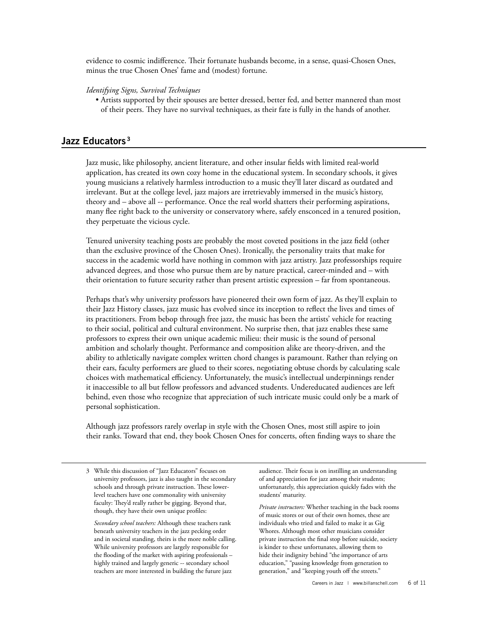evidence to cosmic indifference. Their fortunate husbands become, in a sense, quasi-Chosen Ones, minus the true Chosen Ones' fame and (modest) fortune.

#### *Identifying Signs, Survival Techniques*

• Artists supported by their spouses are better dressed, better fed, and better mannered than most of their peers. They have no survival techniques, as their fate is fully in the hands of another.

## **Jazz Educators <sup>3</sup>**

Jazz music, like philosophy, ancient literature, and other insular fields with limited real-world application, has created its own cozy home in the educational system. In secondary schools, it gives young musicians a relatively harmless introduction to a music they'll later discard as outdated and irrelevant. But at the college level, jazz majors are irretrievably immersed in the music's history, theory and – above all -- performance. Once the real world shatters their performing aspirations, many flee right back to the university or conservatory where, safely ensconced in a tenured position, they perpetuate the vicious cycle.

Tenured university teaching posts are probably the most coveted positions in the jazz field (other than the exclusive province of the Chosen Ones). Ironically, the personality traits that make for success in the academic world have nothing in common with jazz artistry. Jazz professorships require advanced degrees, and those who pursue them are by nature practical, career-minded and – with their orientation to future security rather than present artistic expression – far from spontaneous.

Perhaps that's why university professors have pioneered their own form of jazz. As they'll explain to their Jazz History classes, jazz music has evolved since its inception to reflect the lives and times of its practitioners. From bebop through free jazz, the music has been the artists' vehicle for reacting to their social, political and cultural environment. No surprise then, that jazz enables these same professors to express their own unique academic milieu: their music is the sound of personal ambition and scholarly thought. Performance and composition alike are theory-driven, and the ability to athletically navigate complex written chord changes is paramount. Rather than relying on their ears, faculty performers are glued to their scores, negotiating obtuse chords by calculating scale choices with mathematical efficiency. Unfortunately, the music's intellectual underpinnings render it inaccessible to all but fellow professors and advanced students. Undereducated audiences are left behind, even those who recognize that appreciation of such intricate music could only be a mark of personal sophistication.

Although jazz professors rarely overlap in style with the Chosen Ones, most still aspire to join their ranks. Toward that end, they book Chosen Ones for concerts, often finding ways to share the

3 While this discussion of "Jazz Educators" focuses on university professors, jazz is also taught in the secondary schools and through private instruction. These lowerlevel teachers have one commonality with university faculty: They'd really rather be gigging. Beyond that, though, they have their own unique profiles:

 *Secondary school teachers:* Although these teachers rank beneath university teachers in the jazz pecking order and in societal standing, theirs is the more noble calling. While university professors are largely responsible for the flooding of the market with aspiring professionals – highly trained and largely generic -- secondary school teachers are more interested in building the future jazz

audience. Their focus is on instilling an understanding of and appreciation for jazz among their students; unfortunately, this appreciation quickly fades with the students' maturity.

 *Private instructors:* Whether teaching in the back rooms of music stores or out of their own homes, these are individuals who tried and failed to make it as Gig Whores. Although most other musicians consider private instruction the final stop before suicide, society is kinder to these unfortunates, allowing them to hide their indignity behind "the importance of arts education," "passing knowledge from generation to generation," and "keeping youth off the streets."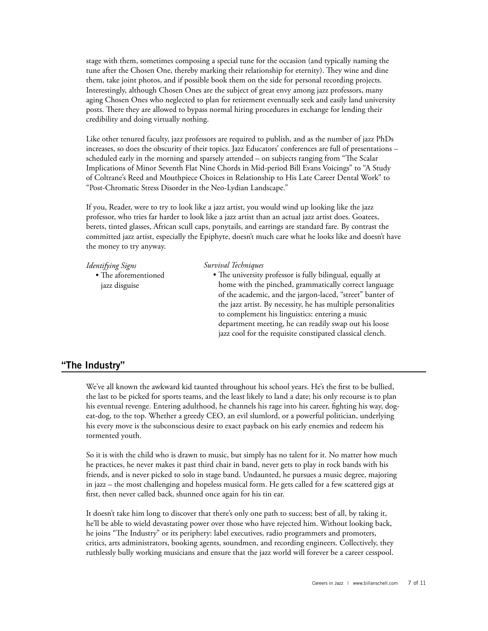stage with them, sometimes composing a special tune for the occasion (and typically naming the tune after the Chosen One, thereby marking their relationship for eternity). They wine and dine them, take joint photos, and if possible book them on the side for personal recording projects. Interestingly, although Chosen Ones are the subject of great envy among jazz professors, many aging Chosen Ones who neglected to plan for retirement eventually seek and easily land university posts. There they are allowed to bypass normal hiring procedures in exchange for lending their credibility and doing virtually nothing.

Like other tenured faculty, jazz professors are required to publish, and as the number of jazz PhDs increases, so does the obscurity of their topics. Jazz Educators' conferences are full of presentations – scheduled early in the morning and sparsely attended – on subjects ranging from "The Scalar Implications of Minor Seventh Flat Nine Chords in Mid-period Bill Evans Voicings" to "A Study of Coltrane's Reed and Mouthpiece Choices in Relationship to His Late Career Dental Work" to "Post-Chromatic Stress Disorder in the Neo-Lydian Landscape."

If you, Reader, were to try to look like a jazz artist, you would wind up looking like the jazz professor, who tries far harder to look like a jazz artist than an actual jazz artist does. Goatees, berets, tinted glasses, African scull caps, ponytails, and earrings are standard fare. By contrast the committed jazz artist, especially the Epiphyte, doesn't much care what he looks like and doesn't have the money to try anyway.

| <b>Identifying Signs</b> | Survival Techniques                                          |
|--------------------------|--------------------------------------------------------------|
| • The aforementioned     | • The university professor is fully bilingual, equally at    |
| jazz disguise            | home with the pinched, grammatically correct language        |
|                          | of the academic, and the jargon-laced, "street" banter of    |
|                          | the jazz artist. By necessity, he has multiple personalities |
|                          | to complement his linguistics: entering a music              |
|                          | department meeting, he can readily swap out his loose        |
|                          | jazz cool for the requisite constipated classical clench.    |
|                          |                                                              |

## **"The Industry"**

We've all known the awkward kid taunted throughout his school years. He's the first to be bullied, the last to be picked for sports teams, and the least likely to land a date; his only recourse is to plan his eventual revenge. Entering adulthood, he channels his rage into his career, fighting his way, dogeat-dog, to the top. Whether a greedy CEO, an evil slumlord, or a powerful politician, underlying his every move is the subconscious desire to exact payback on his early enemies and redeem his tormented youth.

So it is with the child who is drawn to music, but simply has no talent for it. No matter how much he practices, he never makes it past third chair in band, never gets to play in rock bands with his friends, and is never picked to solo in stage band. Undaunted, he pursues a music degree, majoring in jazz – the most challenging and hopeless musical form. He gets called for a few scattered gigs at first, then never called back, shunned once again for his tin ear.

It doesn't take him long to discover that there's only one path to success; best of all, by taking it, he'll be able to wield devastating power over those who have rejected him. Without looking back, he joins "The Industry" or its periphery: label executives, radio programmers and promoters, critics, arts administrators, booking agents, soundmen, and recording engineers. Collectively, they ruthlessly bully working musicians and ensure that the jazz world will forever be a career cesspool.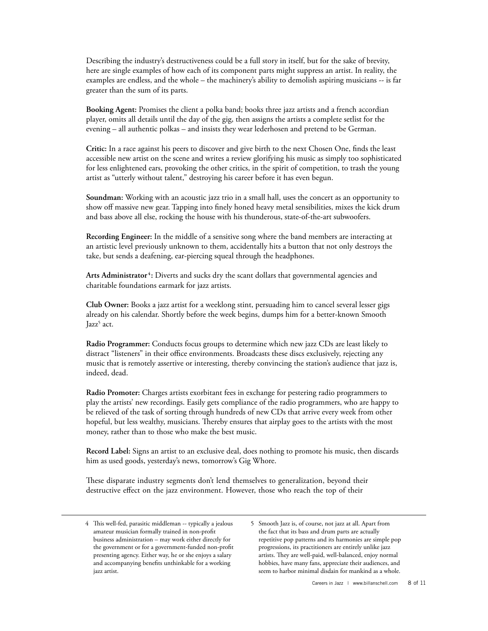Describing the industry's destructiveness could be a full story in itself, but for the sake of brevity, here are single examples of how each of its component parts might suppress an artist. In reality, the examples are endless, and the whole – the machinery's ability to demolish aspiring musicians -- is far greater than the sum of its parts.

**Booking Agent:** Promises the client a polka band; books three jazz artists and a french accordian player, omits all details until the day of the gig, then assigns the artists a complete setlist for the evening – all authentic polkas – and insists they wear lederhosen and pretend to be German.

**Critic:** In a race against his peers to discover and give birth to the next Chosen One, finds the least accessible new artist on the scene and writes a review glorifying his music as simply too sophisticated for less enlightened ears, provoking the other critics, in the spirit of competition, to trash the young artist as "utterly without talent," destroying his career before it has even begun.

**Soundman:** Working with an acoustic jazz trio in a small hall, uses the concert as an opportunity to show off massive new gear. Tapping into finely honed heavy metal sensibilities, mixes the kick drum and bass above all else, rocking the house with his thunderous, state-of-the-art subwoofers.

**Recording Engineer:** In the middle of a sensitive song where the band members are interacting at an artistic level previously unknown to them, accidentally hits a button that not only destroys the take, but sends a deafening, ear-piercing squeal through the headphones.

**Arts Administrator 4:** Diverts and sucks dry the scant dollars that governmental agencies and charitable foundations earmark for jazz artists.

**Club Owner:** Books a jazz artist for a weeklong stint, persuading him to cancel several lesser gigs already on his calendar. Shortly before the week begins, dumps him for a better-known Smooth Jazz<sup>5</sup> act.

**Radio Programmer:** Conducts focus groups to determine which new jazz CDs are least likely to distract "listeners" in their office environments. Broadcasts these discs exclusively, rejecting any music that is remotely assertive or interesting, thereby convincing the station's audience that jazz is, indeed, dead.

**Radio Promoter:** Charges artists exorbitant fees in exchange for pestering radio programmers to play the artists' new recordings. Easily gets compliance of the radio programmers, who are happy to be relieved of the task of sorting through hundreds of new CDs that arrive every week from other hopeful, but less wealthy, musicians. Thereby ensures that airplay goes to the artists with the most money, rather than to those who make the best music.

**Record Label:** Signs an artist to an exclusive deal, does nothing to promote his music, then discards him as used goods, yesterday's news, tomorrow's Gig Whore.

These disparate industry segments don't lend themselves to generalization, beyond their destructive effect on the jazz environment. However, those who reach the top of their

<sup>4</sup> This well-fed, parasitic middleman -- typically a jealous amateur musician formally trained in non-profit business administration – may work either directly for the government or for a government-funded non-profit presenting agency. Either way, he or she enjoys a salary and accompanying benefits unthinkable for a working jazz artist.

<sup>5</sup> Smooth Jazz is, of course, not jazz at all. Apart from the fact that its bass and drum parts are actually repetitive pop patterns and its harmonies are simple pop progressions, its practitioners are entirely unlike jazz artists. They are well-paid, well-balanced, enjoy normal hobbies, have many fans, appreciate their audiences, and seem to harbor minimal disdain for mankind as a whole.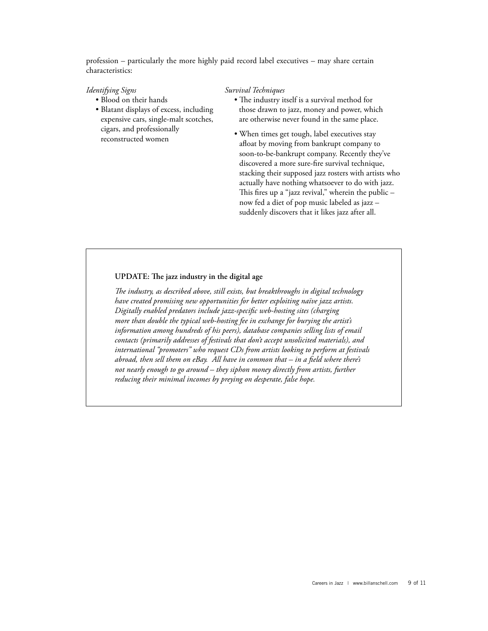profession – particularly the more highly paid record label executives – may share certain characteristics:

#### *Identifying Signs*

- Blood on their hands
- Blatant displays of excess, including expensive cars, single-malt scotches, cigars, and professionally reconstructed women

#### *Survival Techniques*

- The industry itself is a survival method for those drawn to jazz, money and power, which are otherwise never found in the same place.
- When times get tough, label executives stay afloat by moving from bankrupt company to soon-to-be-bankrupt company. Recently they've discovered a more sure-fire survival technique, stacking their supposed jazz rosters with artists who actually have nothing whatsoever to do with jazz. This fires up a "jazz revival," wherein the public – now fed a diet of pop music labeled as jazz – suddenly discovers that it likes jazz after all.

### **UPDATE:** The jazz industry in the digital age

*The industry, as described above, still exists, but breakthroughs in digital technology have created promising new opportunities for better exploiting naïve jazz artists. Digitally enabled predators include jazz-specific web-hosting sites (charging more than double the typical web-hosting fee in exchange for burying the artist's information among hundreds of his peers), database companies selling lists of email contacts (primarily addresses of festivals that don't accept unsolicited materials), and international "promoters" who request CDs from artists looking to perform at festivals abroad, then sell them on eBay. All have in common that – in a field where there's not nearly enough to go around – they siphon money directly from artists, further reducing their minimal incomes by preying on desperate, false hope.*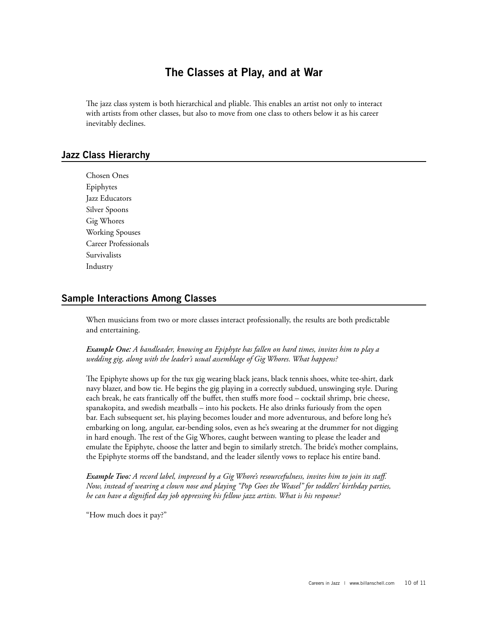## **The Classes at Play, and at War**

The jazz class system is both hierarchical and pliable. This enables an artist not only to interact with artists from other classes, but also to move from one class to others below it as his career inevitably declines.

## **Jazz Class Hierarchy**

Chosen Ones Epiphytes Jazz Educators Silver Spoons Gig Whores Working Spouses Career Professionals Survivalists Industry

## **Sample Interactions Among Classes**

When musicians from two or more classes interact professionally, the results are both predictable and entertaining.

*Example One: A bandleader, knowing an Epiphyte has fallen on hard times, invites him to play a wedding gig, along with the leader's usual assemblage of Gig Whores. What happens?*

The Epiphyte shows up for the tux gig wearing black jeans, black tennis shoes, white tee-shirt, dark navy blazer, and bow tie. He begins the gig playing in a correctly subdued, unswinging style. During each break, he eats frantically off the buffet, then stuffs more food – cocktail shrimp, brie cheese, spanakopita, and swedish meatballs – into his pockets. He also drinks furiously from the open bar. Each subsequent set, his playing becomes louder and more adventurous, and before long he's embarking on long, angular, ear-bending solos, even as he's swearing at the drummer for not digging in hard enough. The rest of the Gig Whores, caught between wanting to please the leader and emulate the Epiphyte, choose the latter and begin to similarly stretch. The bride's mother complains, the Epiphyte storms off the bandstand, and the leader silently vows to replace his entire band.

*Example Two: A record label, impressed by a Gig Whore's resourcefulness, invites him to join its staff. Now, instead of wearing a clown nose and playing "Pop Goes the Weasel" for toddlers' birthday parties, he can have a dignified day job oppressing his fellow jazz artists. What is his response?*

"How much does it pay?"